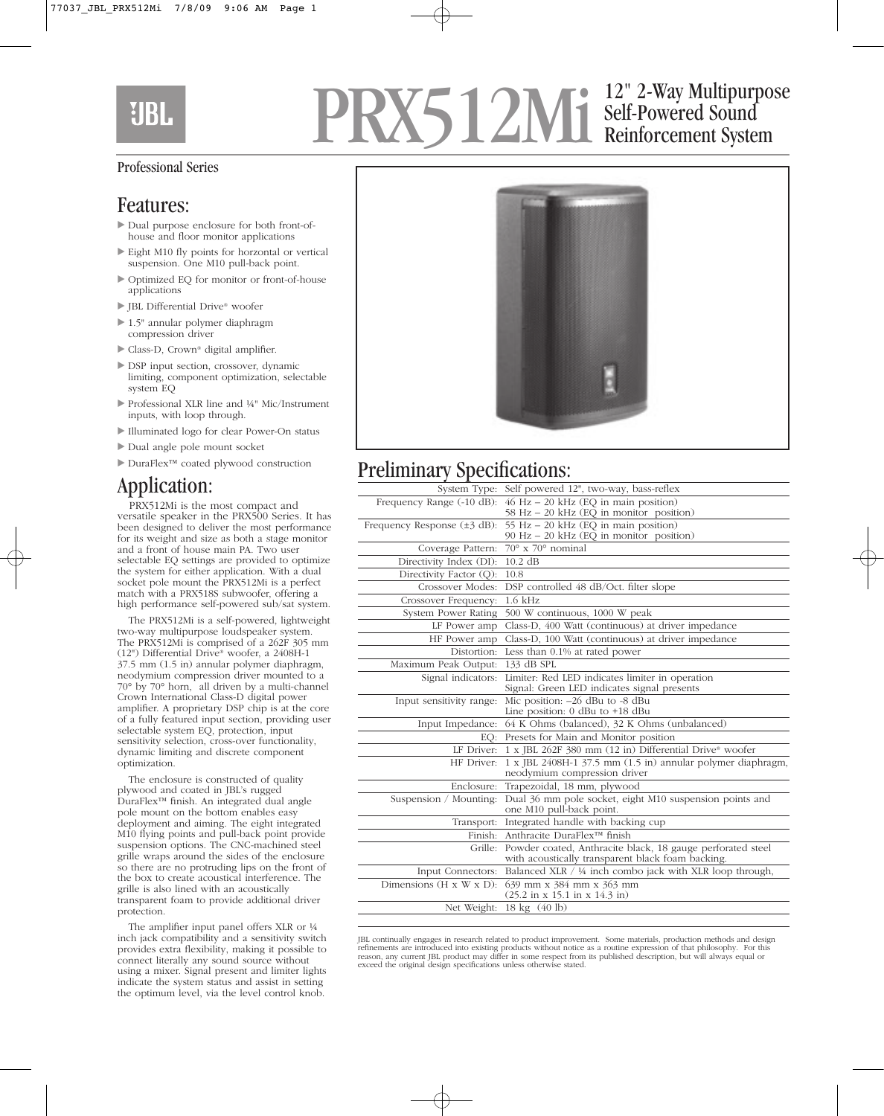## **UBL**

## PRX512Mi Self-Powered Sound<br>Reinforcement System Self-Powered Sound Reinforcement System

#### Professional Series

#### Features:

- Dual purpose enclosure for both front-ofhouse and floor monitor applications
- Eight M10 fly points for horzontal or vertical suspension. One M10 pull-back point.
- Optimized EQ for monitor or front-of-house applications
- ▶ JBL Differential Drive® woofer
- ▶ 1.5" annular polymer diaphragm compression driver
- ▶ Class-D, Crown® digital amplifier.
- DSP input section, crossover, dynamic limiting, component optimization, selectable system EQ
- ▶ Professional XLR line and ¼" Mic/Instrument inputs, with loop through.
- Illuminated logo for clear Power-On status
- Dual angle pole mount socket
- DuraFlex™ coated plywood construction

#### Application:

PRX512Mi is the most compact and versatile speaker in the PRX500 Series. It has been designed to deliver the most performance for its weight and size as both a stage monitor and a front of house main PA. Two user selectable EQ settings are provided to optimize the system for either application. With a dual socket pole mount the PRX512Mi is a perfect match with a PRX518S subwoofer, offering a high performance self-powered sub/sat system.

The PRX512Mi is a self-powered, lightweight two-way multipurpose loudspeaker system. The PRX512Mi is comprised of a 262F 305 mm (12") Differential Drive® woofer, a 2408H-1 37.5 mm (1.5 in) annular polymer diaphragm, neodymium compression driver mounted to a 70° by 70° horn, all driven by a multi-channel Crown International Class-D digital power amplifier. A proprietary DSP chip is at the core of a fully featured input section, providing user selectable system EQ, protection, input sensitivity selection, cross-over functionality, dynamic limiting and discrete component optimization.

The enclosure is constructed of quality plywood and coated in JBL's rugged DuraFlex™ finish. An integrated dual angle pole mount on the bottom enables easy deployment and aiming. The eight integrated M10 flying points and pull-back point provide suspension options. The CNC-machined steel grille wraps around the sides of the enclosure so there are no protruding lips on the front of the box to create acoustical interference. The grille is also lined with an acoustically transparent foam to provide additional driver protection.

The amplifier input panel offers XLR or ¼ inch jack compatibility and a sensitivity switch provides extra flexibility, making it possible to connect literally any sound source without using a mixer. Signal present and limiter lights indicate the system status and assist in setting the optimum level, via the level control knob.



### Preliminary Specifications:

| System Type:                              | Self powered 12", two-way, bass-reflex                                                                                  |
|-------------------------------------------|-------------------------------------------------------------------------------------------------------------------------|
| Frequency Range (-10 dB):                 | $46$ Hz $-$ 20 kHz (EQ in main position)                                                                                |
|                                           | 58 Hz - 20 kHz (EQ in monitor position)                                                                                 |
| Frequency Response $(\pm 3 \text{ dB})$ : | 55 Hz - 20 kHz (EQ in main position)                                                                                    |
|                                           | 90 Hz - 20 kHz (EQ in monitor position)                                                                                 |
| Coverage Pattern:                         | $\frac{1}{70^{\circ}} \times 70^{\circ}$ nominal                                                                        |
| Directivity Index (DI):                   | $10.2$ dB                                                                                                               |
| Directivity Factor (Q):                   | 10.8                                                                                                                    |
| Crossover Modes:                          | DSP controlled 48 dB/Oct. filter slope                                                                                  |
| Crossover Frequency:                      | $1.6$ kHz                                                                                                               |
| System Power Rating                       | 500 W continuous, 1000 W peak                                                                                           |
| LF Power amp                              | Class-D, 400 Watt (continuous) at driver impedance                                                                      |
| HF Power amp                              | Class-D, 100 Watt (continuous) at driver impedance                                                                      |
| Distortion:                               | Less than 0.1% at rated power                                                                                           |
| Maximum Peak Output:                      | 133 dB SPL                                                                                                              |
| Signal indicators:                        | Limiter: Red LED indicates limiter in operation<br>Signal: Green LED indicates signal presents                          |
| Input sensitivity range:                  | Mic position: -26 dBu to -8 dBu<br>Line position: 0 dBu to +18 dBu                                                      |
|                                           | Input Impedance: 64 K Ohms (balanced), 32 K Ohms (unbalanced)                                                           |
|                                           | EQ: Presets for Main and Monitor position                                                                               |
|                                           | LF Driver: 1 x JBL 262F 380 mm (12 in) Differential Drive® woofer                                                       |
| HF Driver:                                | 1 x JBL 2408H-1 37.5 mm (1.5 in) annular polymer diaphragm,<br>neodymium compression driver                             |
| Enclosure:                                | Trapezoidal, 18 mm, plywood                                                                                             |
| Suspension / Mounting:                    | Dual 36 mm pole socket, eight M10 suspension points and<br>one M10 pull-back point.                                     |
|                                           | Transport: Integrated handle with backing cup                                                                           |
|                                           | Finish: Anthracite DuraFlex™ finish                                                                                     |
|                                           | Grille: Powder coated, Anthracite black, 18 gauge perforated steel<br>with acoustically transparent black foam backing. |
| Input Connectors:                         | Balanced XLR / ¼ inch combo jack with XLR loop through,                                                                 |
| Dimensions $(H \times W \times D)$ :      | 639 mm x 384 mm x 363 mm<br>$(25.2 \text{ in } x 15.1 \text{ in } x 14.3 \text{ in})$                                   |
| Net Weight:                               | 18 kg (40 lb)                                                                                                           |
|                                           |                                                                                                                         |

JBL continually engages in research related to product improvement. Some materials, production methods and design refinements are introduced into existing products without notice as a routine expression of that philosophy. For this reason, any current JBL product may differ in some respect from its published description, but will always equal or exceed the original design specifications unless otherwise stated.